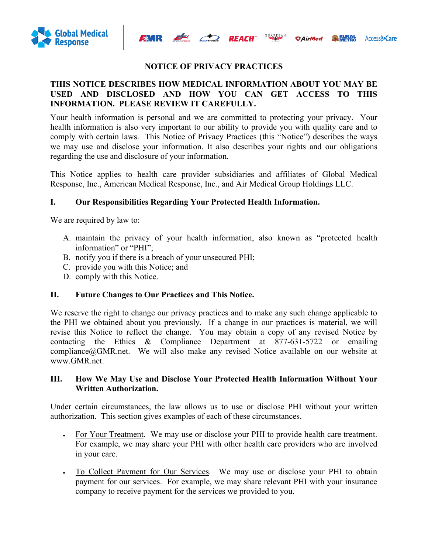

### **NOTICE OF PRIVACY PRACTICES**

*<u>OAirMed</u>* 

Access<sub>2</sub>Care

 $\begin{array}{c}\n\hline\n\end{array}$ 

### **THIS NOTICE DESCRIBES HOW MEDICAL INFORMATION ABOUT YOU MAY BE USED AND DISCLOSED AND HOW YOU CAN GET ACCESS TO THIS INFORMATION. PLEASE REVIEW IT CAREFULLY.**

Your health information is personal and we are committed to protecting your privacy. Your health information is also very important to our ability to provide you with quality care and to comply with certain laws. This Notice of Privacy Practices (this "Notice") describes the ways we may use and disclose your information. It also describes your rights and our obligations regarding the use and disclosure of your information.

This Notice applies to health care provider subsidiaries and affiliates of Global Medical Response, Inc., American Medical Response, Inc., and Air Medical Group Holdings LLC.

### **I. Our Responsibilities Regarding Your Protected Health Information.**

We are required by law to:

- A. maintain the privacy of your health information, also known as "protected health information" or "PHI";
- B. notify you if there is a breach of your unsecured PHI;
- C. provide you with this Notice; and
- D. comply with this Notice.

#### **II. Future Changes to Our Practices and This Notice.**

We reserve the right to change our privacy practices and to make any such change applicable to the PHI we obtained about you previously. If a change in our practices is material, we will revise this Notice to reflect the change. You may obtain a copy of any revised Notice by contacting the Ethics & Compliance Department at 877-631-5722 or emailing compliance@GMR.net. We will also make any revised Notice available on our website at www.GMR.net.

### **III. How We May Use and Disclose Your Protected Health Information Without Your Written Authorization.**

Under certain circumstances, the law allows us to use or disclose PHI without your written authorization. This section gives examples of each of these circumstances.

- For Your Treatment. We may use or disclose your PHI to provide health care treatment. For example, we may share your PHI with other health care providers who are involved in your care.
- To Collect Payment for Our Services. We may use or disclose your PHI to obtain payment for our services. For example, we may share relevant PHI with your insurance company to receive payment for the services we provided to you.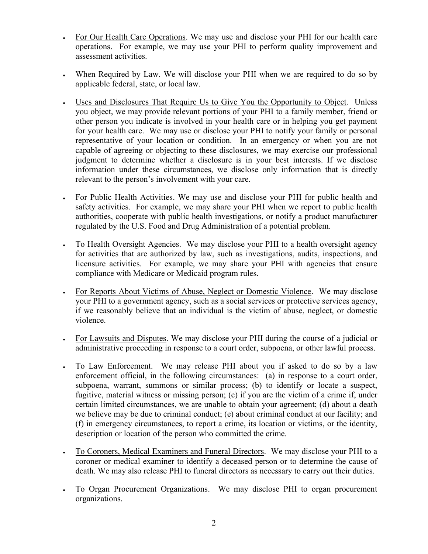- For Our Health Care Operations. We may use and disclose your PHI for our health care operations. For example, we may use your PHI to perform quality improvement and assessment activities.
- When Required by Law. We will disclose your PHI when we are required to do so by applicable federal, state, or local law.
- Uses and Disclosures That Require Us to Give You the Opportunity to Object.Unless you object, we may provide relevant portions of your PHI to a family member, friend or other person you indicate is involved in your health care or in helping you get payment for your health care. We may use or disclose your PHI to notify your family or personal representative of your location or condition. In an emergency or when you are not capable of agreeing or objecting to these disclosures, we may exercise our professional judgment to determine whether a disclosure is in your best interests. If we disclose information under these circumstances, we disclose only information that is directly relevant to the person's involvement with your care.
- For Public Health Activities. We may use and disclose your PHI for public health and safety activities. For example, we may share your PHI when we report to public health authorities, cooperate with public health investigations, or notify a product manufacturer regulated by the U.S. Food and Drug Administration of a potential problem.
- To Health Oversight Agencies. We may disclose your PHI to a health oversight agency for activities that are authorized by law, such as investigations, audits, inspections, and licensure activities. For example, we may share your PHI with agencies that ensure compliance with Medicare or Medicaid program rules.
- For Reports About Victims of Abuse, Neglect or Domestic Violence. We may disclose your PHI to a government agency, such as a social services or protective services agency, if we reasonably believe that an individual is the victim of abuse, neglect, or domestic violence.
- For Lawsuits and Disputes. We may disclose your PHI during the course of a judicial or administrative proceeding in response to a court order, subpoena, or other lawful process.
- To Law Enforcement. We may release PHI about you if asked to do so by a law enforcement official, in the following circumstances: (a) in response to a court order, subpoena, warrant, summons or similar process; (b) to identify or locate a suspect, fugitive, material witness or missing person; (c) if you are the victim of a crime if, under certain limited circumstances, we are unable to obtain your agreement; (d) about a death we believe may be due to criminal conduct; (e) about criminal conduct at our facility; and (f) in emergency circumstances, to report a crime, its location or victims, or the identity, description or location of the person who committed the crime.
- To Coroners, Medical Examiners and Funeral Directors. We may disclose your PHI to a coroner or medical examiner to identify a deceased person or to determine the cause of death. We may also release PHI to funeral directors as necessary to carry out their duties.
- To Organ Procurement Organizations. We may disclose PHI to organ procurement organizations.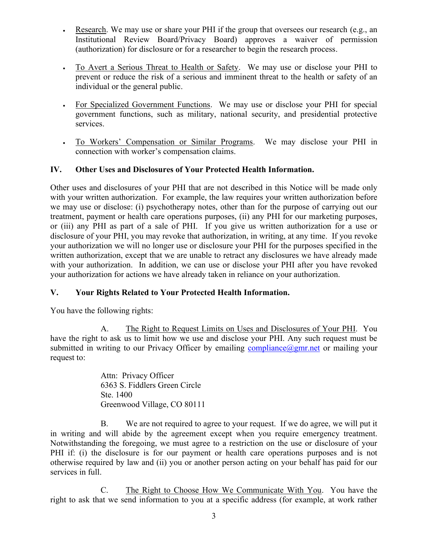- Research. We may use or share your PHI if the group that oversees our research (e.g., an Institutional Review Board/Privacy Board) approves a waiver of permission (authorization) for disclosure or for a researcher to begin the research process.
- To Avert a Serious Threat to Health or Safety. We may use or disclose your PHI to prevent or reduce the risk of a serious and imminent threat to the health or safety of an individual or the general public.
- For Specialized Government Functions. We may use or disclose your PHI for special government functions, such as military, national security, and presidential protective services.
- To Workers' Compensation or Similar Programs. We may disclose your PHI in connection with worker's compensation claims.

## **IV. Other Uses and Disclosures of Your Protected Health Information.**

Other uses and disclosures of your PHI that are not described in this Notice will be made only with your written authorization. For example, the law requires your written authorization before we may use or disclose: (i) psychotherapy notes, other than for the purpose of carrying out our treatment, payment or health care operations purposes, (ii) any PHI for our marketing purposes, or (iii) any PHI as part of a sale of PHI. If you give us written authorization for a use or disclosure of your PHI, you may revoke that authorization, in writing, at any time. If you revoke your authorization we will no longer use or disclosure your PHI for the purposes specified in the written authorization, except that we are unable to retract any disclosures we have already made with your authorization. In addition, we can use or disclose your PHI after you have revoked your authorization for actions we have already taken in reliance on your authorization.

## **V. Your Rights Related to Your Protected Health Information.**

You have the following rights:

A. The Right to Request Limits on Uses and Disclosures of Your PHI. You have the right to ask us to limit how we use and disclose your PHI. Any such request must be submitted in writing to our Privacy Officer by emailing compliance  $\omega_{\text{gmr.net}}$  or mailing your request to:

> Attn: Privacy Officer 6363 S. Fiddlers Green Circle Ste. 1400 Greenwood Village, CO 80111

B. We are not required to agree to your request. If we do agree, we will put it in writing and will abide by the agreement except when you require emergency treatment. Notwithstanding the foregoing, we must agree to a restriction on the use or disclosure of your PHI if: (i) the disclosure is for our payment or health care operations purposes and is not otherwise required by law and (ii) you or another person acting on your behalf has paid for our services in full.

C. The Right to Choose How We Communicate With You. You have the right to ask that we send information to you at a specific address (for example, at work rather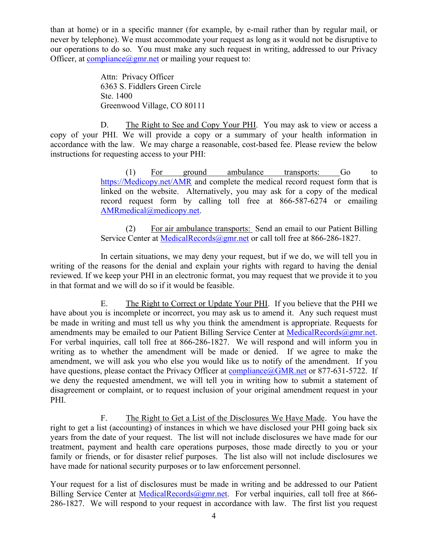than at home) or in a specific manner (for example, by e-mail rather than by regular mail, or never by telephone). We must accommodate your request as long as it would not be disruptive to our operations to do so. You must make any such request in writing, addressed to our Privacy Officer, at compliance  $\omega$ gmr.net or mailing your request to:

> Attn: Privacy Officer 6363 S. Fiddlers Green Circle Ste. 1400 Greenwood Village, CO 80111

D. The Right to See and Copy Your PHI. You may ask to view or access a copy of your PHI. We will provide a copy or a summary of your health information in accordance with the law. We may charge a reasonable, cost-based fee. Please review the below instructions for requesting access to your PHI:

> (1) For ground ambulance transports: Go to https://Medicopy.net/AMR and complete the medical record request form that is linked on the website. Alternatively, you may ask for a copy of the medical record request form by calling toll free at 866-587-6274 or emailing AMRmedical@medicopy.net.

> (2) For air ambulance transports: Send an email to our Patient Billing Service Center at MedicalRecords@gmr.net or call toll free at 866-286-1827.

In certain situations, we may deny your request, but if we do, we will tell you in writing of the reasons for the denial and explain your rights with regard to having the denial reviewed. If we keep your PHI in an electronic format, you may request that we provide it to you in that format and we will do so if it would be feasible.

E. The Right to Correct or Update Your PHI. If you believe that the PHI we have about you is incomplete or incorrect, you may ask us to amend it. Any such request must be made in writing and must tell us why you think the amendment is appropriate. Requests for amendments may be emailed to our Patient Billing Service Center at MedicalRecords@gmr.net. For verbal inquiries, call toll free at 866-286-1827. We will respond and will inform you in writing as to whether the amendment will be made or denied. If we agree to make the amendment, we will ask you who else you would like us to notify of the amendment. If you have questions, please contact the Privacy Officer at compliance@GMR.net or 877-631-5722. If we deny the requested amendment, we will tell you in writing how to submit a statement of disagreement or complaint, or to request inclusion of your original amendment request in your PHI.

F. The Right to Get a List of the Disclosures We Have Made. You have the right to get a list (accounting) of instances in which we have disclosed your PHI going back six years from the date of your request. The list will not include disclosures we have made for our treatment, payment and health care operations purposes, those made directly to you or your family or friends, or for disaster relief purposes. The list also will not include disclosures we have made for national security purposes or to law enforcement personnel.

Your request for a list of disclosures must be made in writing and be addressed to our Patient Billing Service Center at MedicalRecords@gmr.net. For verbal inquiries, call toll free at 866-286-1827. We will respond to your request in accordance with law. The first list you request